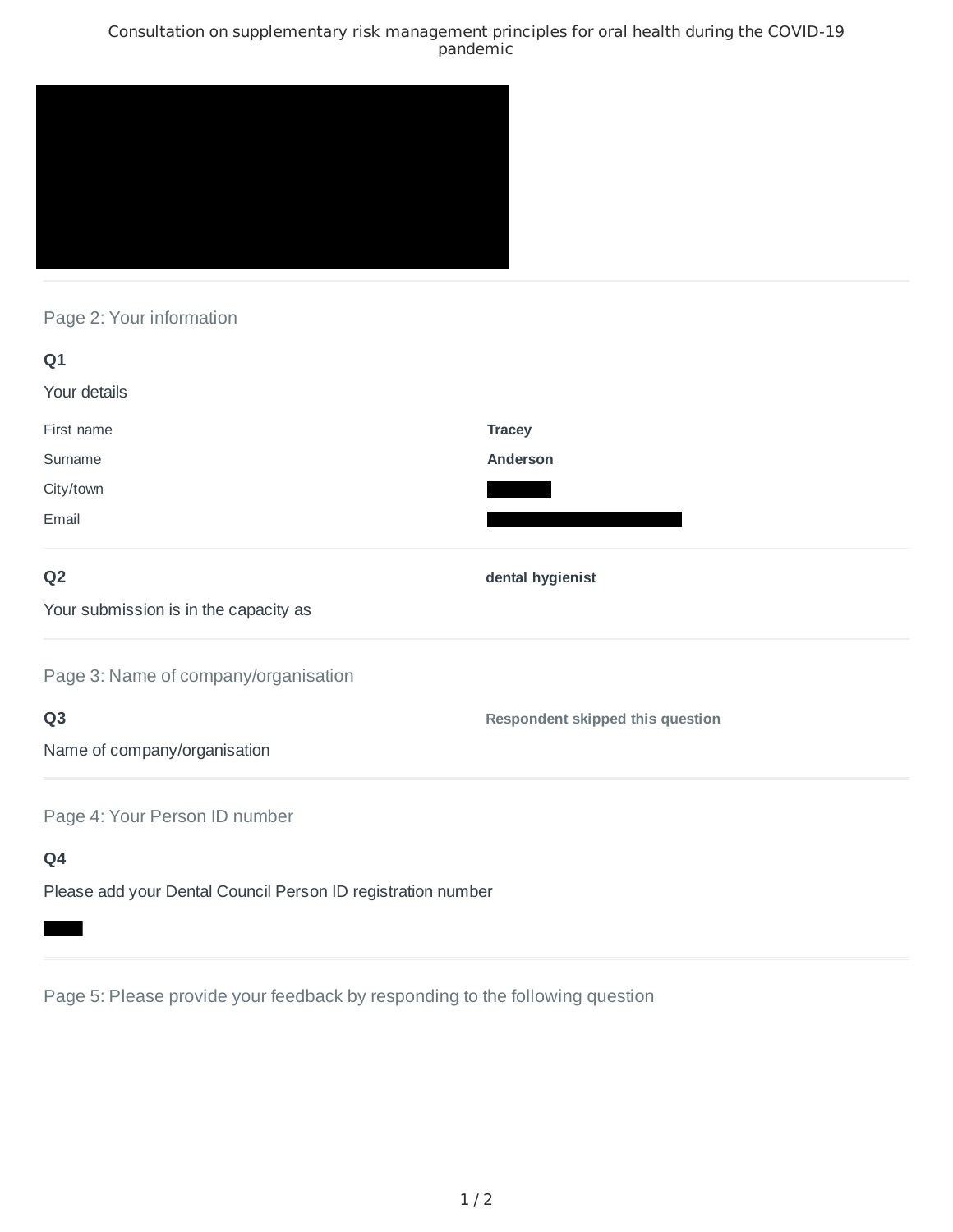### Consultation on supplementary risk management principles for oral health during the COVID-19 pandemic



# Page 2: Your information

| Q1                                                           |                                  |
|--------------------------------------------------------------|----------------------------------|
| Your details                                                 |                                  |
| First name                                                   | <b>Tracey</b>                    |
| Surname                                                      | Anderson                         |
| City/town                                                    |                                  |
| Email                                                        |                                  |
| Q <sub>2</sub>                                               | dental hygienist                 |
| Your submission is in the capacity as                        |                                  |
| Page 3: Name of company/organisation                         |                                  |
| Q <sub>3</sub>                                               | Respondent skipped this question |
| Name of company/organisation                                 |                                  |
| Page 4: Your Person ID number                                |                                  |
| Q4                                                           |                                  |
| Please add your Dental Council Person ID registration number |                                  |

Page 5: Please provide your feedback by responding to the following question